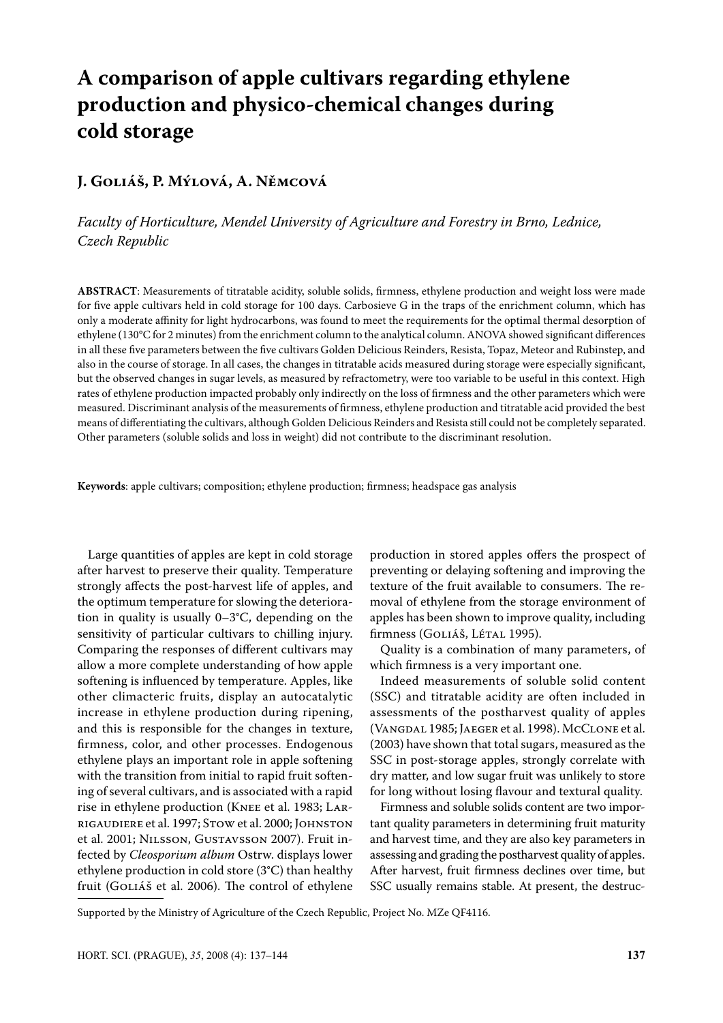# **A comparison of apple cultivars regarding ethylene production and physico-chemical changes during cold storage**

# **J. Goliáš, P. Mýlová, A. Němcová**

*Faculty of Horticulture, Mendel University of Agriculture and Forestry in Brno, Lednice, Czech Republic*

**ABSTRACT**: Measurements of titratable acidity, soluble solids, firmness, ethylene production and weight loss were made for five apple cultivars held in cold storage for 100 days. Carbosieve G in the traps of the enrichment column, which has only a moderate affinity for light hydrocarbons, was found to meet the requirements for the optimal thermal desorption of ethylene (130°C for 2 minutes) from the enrichment column to the analytical column. ANOVA showed significant differences in all these five parameters between the five cultivars Golden Delicious Reinders, Resista, Topaz, Meteor and Rubinstep, and also in the course of storage. In all cases, the changes in titratable acids measured during storage were especially significant, but the observed changes in sugar levels, as measured by refractometry, were too variable to be useful in this context. High rates of ethylene production impacted probably only indirectly on the loss of firmness and the other parameters which were measured. Discriminant analysis of the measurements of firmness, ethylene production and titratable acid provided the best means of differentiating the cultivars, although Golden Delicious Reinders and Resista still could not be completely separated. Other parameters (soluble solids and loss in weight) did not contribute to the discriminant resolution.

**Keywords**: apple cultivars; composition; ethylene production; firmness; headspace gas analysis

Large quantities of apples are kept in cold storage after harvest to preserve their quality. Temperature strongly affects the post-harvest life of apples, and the optimum temperature for slowing the deterioration in quality is usually 0–3°C, depending on the sensitivity of particular cultivars to chilling injury. Comparing the responses of different cultivars may allow a more complete understanding of how apple softening is influenced by temperature. Apples, like other climacteric fruits, display an autocatalytic increase in ethylene production during ripening, and this is responsible for the changes in texture, firmness, color, and other processes. Endogenous ethylene plays an important role in apple softening with the transition from initial to rapid fruit softening of several cultivars, and is associated with a rapid rise in ethylene production (Knee et al. 1983; Larrigaudiere et al. 1997; Stow et al. 2000; Johnston et al. 2001; Nilsson, Gustavsson 2007). Fruit infected by *Cleosporium album* Ostrw. displays lower ethylene production in cold store (3°C) than healthy fruit (Goliáš et al. 2006). The control of ethylene

production in stored apples offers the prospect of preventing or delaying softening and improving the texture of the fruit available to consumers. The removal of ethylene from the storage environment of apples has been shown to improve quality, including firmness (GOLIÁŠ, LÉTAL 1995).

Quality is a combination of many parameters, of which firmness is a very important one.

Indeed measurements of soluble solid content (SSC) and titratable acidity are often included in assessments of the postharvest quality of apples (Vangdal 1985; Jaeger et al. 1998). McClone et al. (2003) have shown that total sugars, measured as the SSC in post-storage apples, strongly correlate with dry matter, and low sugar fruit was unlikely to store for long without losing flavour and textural quality.

Firmness and soluble solids content are two important quality parameters in determining fruit maturity and harvest time, and they are also key parameters in assessing and grading the postharvest quality of apples. After harvest, fruit firmness declines over time, but SSC usually remains stable. At present, the destruc-

Supported by the Ministry of Agriculture of the Czech Republic, Project No. MZe QF4116.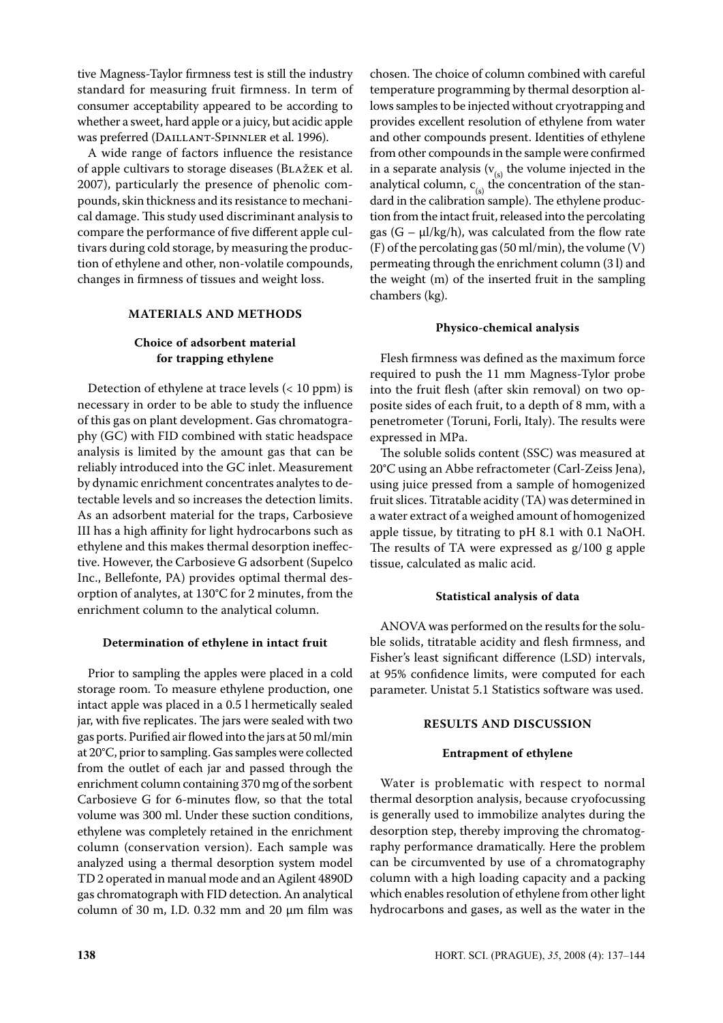tive Magness-Taylor firmness test is still the industry standard for measuring fruit firmness. In term of consumer acceptability appeared to be according to whether a sweet, hard apple or a juicy, but acidic apple was preferred (DAILLANT-SPINNLER et al. 1996).

A wide range of factors influence the resistance of apple cultivars to storage diseases (Blažek et al. 2007), particularly the presence of phenolic compounds, skin thickness and its resistance to mechanical damage. This study used discriminant analysis to compare the performance of five different apple cultivars during cold storage, by measuring the production of ethylene and other, non-volatile compounds, changes in firmness of tissues and weight loss.

#### **MATERIALS AND METHODS**

# **Choice of adsorbent material for trapping ethylene**

Detection of ethylene at trace levels  $( $10$  ppm) is$ necessary in order to be able to study the influence of this gas on plant development. Gas chromatography (GC) with FID combined with static headspace analysis is limited by the amount gas that can be reliably introduced into the GC inlet. Measurement by dynamic enrichment concentrates analytes to detectable levels and so increases the detection limits. As an adsorbent material for the traps, Carbosieve III has a high affinity for light hydrocarbons such as ethylene and this makes thermal desorption ineffective. However, the Carbosieve G adsorbent (Supelco Inc., Bellefonte, PA) provides optimal thermal desorption of analytes, at 130°C for 2 minutes, from the enrichment column to the analytical column.

# **Determination of ethylene in intact fruit**

Prior to sampling the apples were placed in a cold storage room. To measure ethylene production, one intact apple was placed in a 0.5 l hermetically sealed jar, with five replicates. The jars were sealed with two gas ports. Purified air flowed into the jars at 50 ml/min at 20°C, prior to sampling. Gas samples were collected from the outlet of each jar and passed through the enrichment column containing 370 mg of the sorbent Carbosieve G for 6-minutes flow, so that the total volume was 300 ml. Under these suction conditions, ethylene was completely retained in the enrichment column (conservation version). Each sample was analyzed using a thermal desorption system model TD 2 operated in manual mode and an Agilent 4890D gas chromatograph with FID detection. An analytical column of 30 m, I.D. 0.32 mm and 20  $\mu$ m film was

chosen. The choice of column combined with careful temperature programming by thermal desorption allows samples to be injected without cryotrapping and provides excellent resolution of ethylene from water and other compounds present. Identities of ethylene from other compounds in the sample were confirmed in a separate analysis  $(v_{(s)}$  the volume injected in the analytical column,  $c_{(s)}$  the concentration of the standard in the calibration sample). The ethylene production from the intact fruit, released into the percolating gas  $(G - \mu I/kg/h)$ , was calculated from the flow rate  $(F)$  of the percolating gas (50 ml/min), the volume  $(V)$ permeating through the enrichment column (3 l) and the weight (m) of the inserted fruit in the sampling chambers (kg).

#### **Physico-chemical analysis**

Flesh firmness was defined as the maximum force required to push the 11 mm Magness-Tylor probe into the fruit flesh (after skin removal) on two opposite sides of each fruit, to a depth of 8 mm, with a penetrometer (Toruni, Forli, Italy). The results were expressed in MPa.

The soluble solids content (SSC) was measured at 20°C using an Abbe refractometer (Carl-Zeiss Jena), using juice pressed from a sample of homogenized fruit slices. Titratable acidity (TA) was determined in a water extract of a weighed amount of homogenized apple tissue, by titrating to pH 8.1 with 0.1 NaOH. The results of TA were expressed as g/100 g apple tissue, calculated as malic acid.

# **Statistical analysis of data**

ANOVA was performed on the results for the soluble solids, titratable acidity and flesh firmness, and Fisher's least significant difference (LSD) intervals, at 95% confidence limits, were computed for each parameter. Unistat 5.1 Statistics software was used.

# **RESULTS AND DISCUSSION**

#### **Entrapment of ethylene**

Water is problematic with respect to normal thermal desorption analysis, because cryofocussing is generally used to immobilize analytes during the desorption step, thereby improving the chromatography performance dramatically. Here the problem can be circumvented by use of a chromatography column with a high loading capacity and a packing which enables resolution of ethylene from other light hydrocarbons and gases, as well as the water in the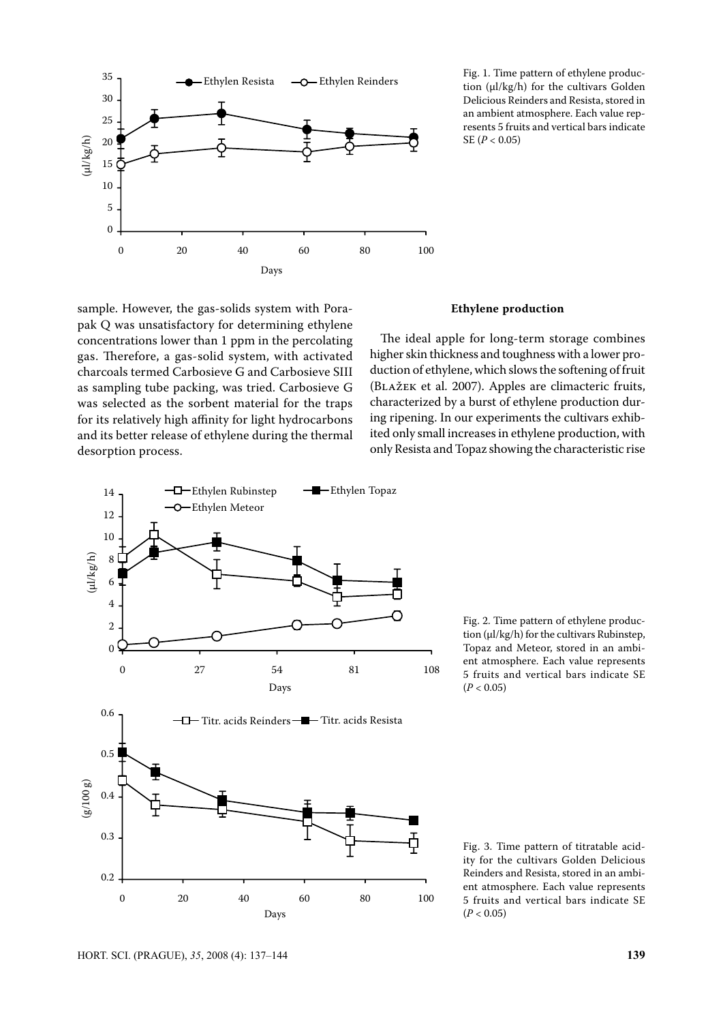

Fig. 1. Time pattern of ethylene production (μl/kg/h) for the cultivars Golden Delicious Reinders and Resista, stored in an ambient atmosphere. Each value represents 5 fruits and vertical bars indicate SE (*P* < 0.05)

sample. However, the gas-solids system with Porapak Q was unsatisfactory for determining ethylene concentrations lower than 1 ppm in the percolating gas. Therefore, a gas-solid system, with activated charcoals termed Carbosieve G and Carbosieve SIII as sampling tube packing, was tried. Carbosieve G was selected as the sorbent material for the traps for its relatively high affinity for light hydrocarbons and its better release of ethylene during the thermal desorption process.

#### **Ethylene production**

The ideal apple for long-term storage combines higher skin thickness and toughness with a lower production of ethylene, which slows the softening of fruit (Blažek et al. 2007). Apples are climacteric fruits, characterized by a burst of ethylene production during ripening. In our experiments the cultivars exhibited only small increases in ethylene production, with only Resista and Topaz showing the characteristic rise



Fig. 2. Time pattern of ethylene production (μl/kg/h) for the cultivars Rubinstep, Topaz and Meteor, stored in an ambient atmosphere. Each value represents 5 fruits and vertical bars indicate SE  $(P < 0.05)$ 

Fig. 3. Time pattern of titratable acidity for the cultivars Golden Delicious Reinders and Resista, stored in an ambient atmosphere. Each value represents 5 fruits and vertical bars indicate SE  $(P < 0.05)$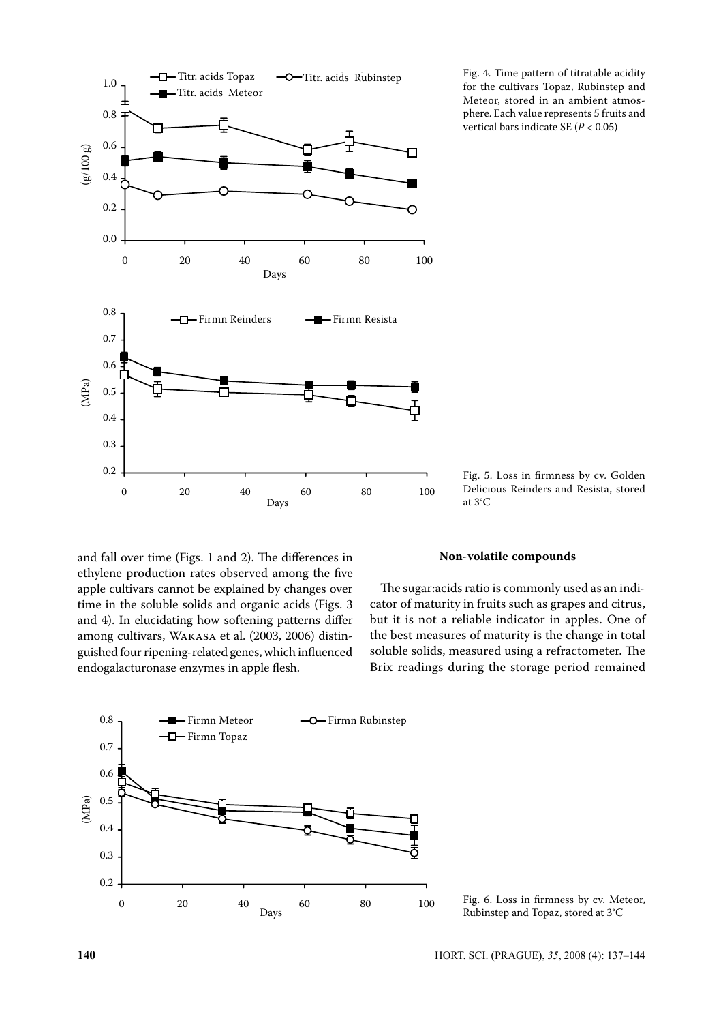

Fig. 4. Time pattern of titratable acidity for the cultivars Topaz, Rubinstep and Meteor, stored in an ambient atmosphere. Each value represents 5 fruits and vertical bars indicate SE (*P* < 0.05)

Fig. 5. Loss in firmness by cv. Golden Delicious Reinders and Resista, stored at 3°C

and fall over time (Figs. 1 and 2). The differences in ethylene production rates observed among the five apple cultivars cannot be explained by changes over time in the soluble solids and organic acids (Figs. 3 and 4). In elucidating how softening patterns differ among cultivars, Wakasa et al. (2003, 2006) distinguished four ripening-related genes, which influenced endogalacturonase enzymes in apple flesh.

### **Non-volatile compounds**

The sugar:acids ratio is commonly used as an indicator of maturity in fruits such as grapes and citrus, but it is not a reliable indicator in apples. One of the best measures of maturity is the change in total soluble solids, measured using a refractometer. The Brix readings during the storage period remained



Fig. 6. Loss in firmness by cv. Meteor, Rubinstep and Topaz, stored at 3°C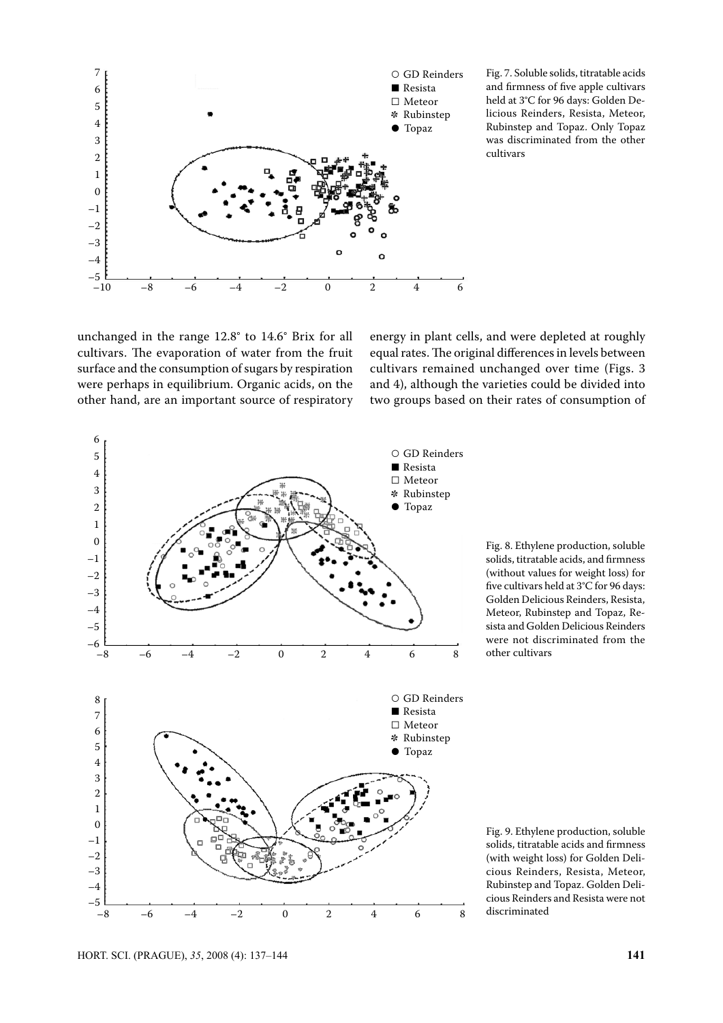

Fig. 7. Soluble solids, titratable acids and firmness of five apple cultivars held at 3°C for 96 days: Golden Delicious Reinders, Resista, Meteor, Rubinstep and Topaz. Only Topaz was discriminated from the other cultivars

unchanged in the range 12.8° to 14.6° Brix for all cultivars. The evaporation of water from the fruit surface and the consumption of sugars by respiration were perhaps in equilibrium. Organic acids, on the other hand, are an important source of respiratory energy in plant cells, and were depleted at roughly equal rates. The original differences in levels between cultivars remained unchanged over time (Figs. 3 and 4), although the varieties could be divided into two groups based on their rates of consumption of



Fig. 8. Ethylene production, soluble solids, titratable acids, and firmness (without values for weight loss) for five cultivars held at 3°C for 96 days: Golden Delicious Reinders, Resista, Meteor, Rubinstep and Topaz, Resista and Golden Delicious Reinders were not discriminated from the other cultivars

Fig. 9. Ethylene production, soluble solids, titratable acids and firmness (with weight loss) for Golden Delicious Reinders, Resista, Meteor, Rubinstep and Topaz. Golden Delicious Reinders and Resista were not discriminated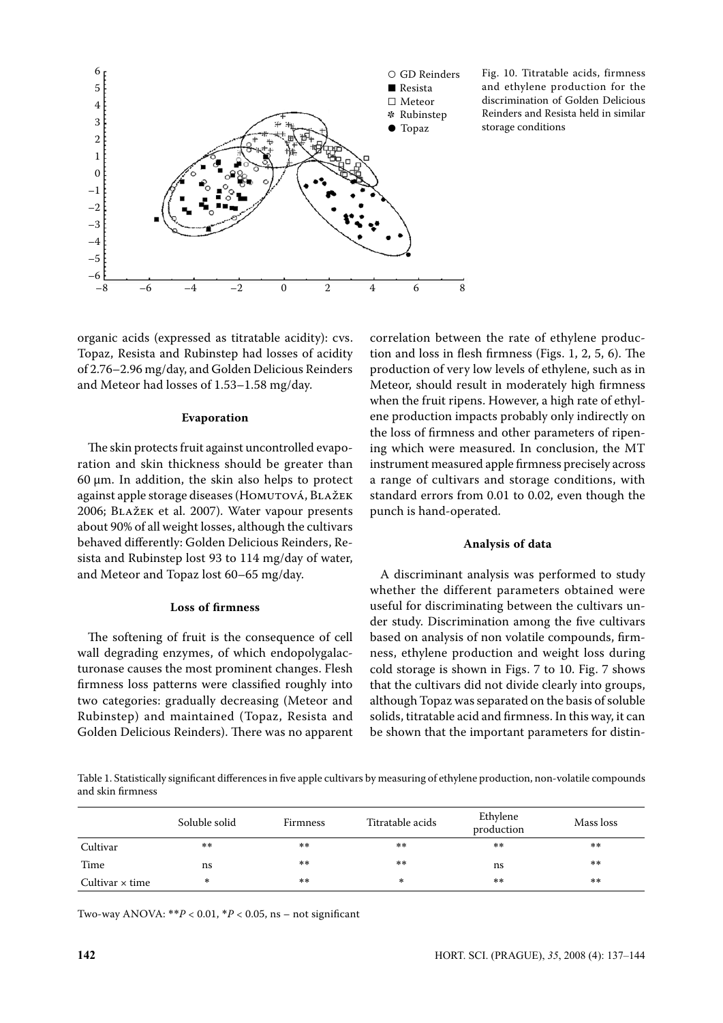

Fig. 10. Titratable acids, firmness and ethylene production for the discrimination of Golden Delicious Reinders and Resista held in similar storage conditions

organic acids (expressed as titratable acidity): cvs. Topaz, Resista and Rubinstep had losses of acidity of 2.76–2.96 mg/day, and Golden Delicious Reinders and Meteor had losses of 1.53–1.58 mg/day.

#### **Evaporation**

The skin protects fruit against uncontrolled evaporation and skin thickness should be greater than 60 μm. In addition, the skin also helps to protect against apple storage diseases (HOMUTOVÁ, BLAŽEK 2006; Blažek et al. 2007). Water vapour presents about 90% of all weight losses, although the cultivars behaved differently: Golden Delicious Reinders, Resista and Rubinstep lost 93 to 114 mg/day of water, and Meteor and Topaz lost 60–65 mg/day.

#### **Loss of firmness**

The softening of fruit is the consequence of cell wall degrading enzymes, of which endopolygalacturonase causes the most prominent changes. Flesh firmness loss patterns were classified roughly into two categories: gradually decreasing (Meteor and Rubinstep) and maintained (Topaz, Resista and Golden Delicious Reinders). There was no apparent

correlation between the rate of ethylene production and loss in flesh firmness (Figs. 1, 2, 5, 6). The production of very low levels of ethylene, such as in Meteor, should result in moderately high firmness when the fruit ripens. However, a high rate of ethylene production impacts probably only indirectly on the loss of firmness and other parameters of ripening which were measured. In conclusion, the MT instrument measured apple firmness precisely across a range of cultivars and storage conditions, with standard errors from 0.01 to 0.02, even though the punch is hand-operated.

#### **Analysis of data**

A discriminant analysis was performed to study whether the different parameters obtained were useful for discriminating between the cultivars under study. Discrimination among the five cultivars based on analysis of non volatile compounds, firmness, ethylene production and weight loss during cold storage is shown in Figs. 7 to 10. Fig. 7 shows that the cultivars did not divide clearly into groups, although Topaz was separated on the basis of soluble solids, titratable acid and firmness. In this way, it can be shown that the important parameters for distin-

Table 1. Statistically significant differences in five apple cultivars by measuring of ethylene production, non-volatile compounds and skin firmness

|                        | Soluble solid | <b>Firmness</b> | Titratable acids | Ethylene<br>production | Mass loss |
|------------------------|---------------|-----------------|------------------|------------------------|-----------|
| Cultivar               | $***$         | $**$            | $**$             | $* *$                  | $**$      |
| Time                   | ns            | $* *$           | $**$             | ns                     | $* *$     |
| Cultivar $\times$ time | *             | $**$            | *                | $* *$                  | $***$     |

Two-way ANOVA:  $*^*P < 0.01$ ,  $*P < 0.05$ , ns – not significant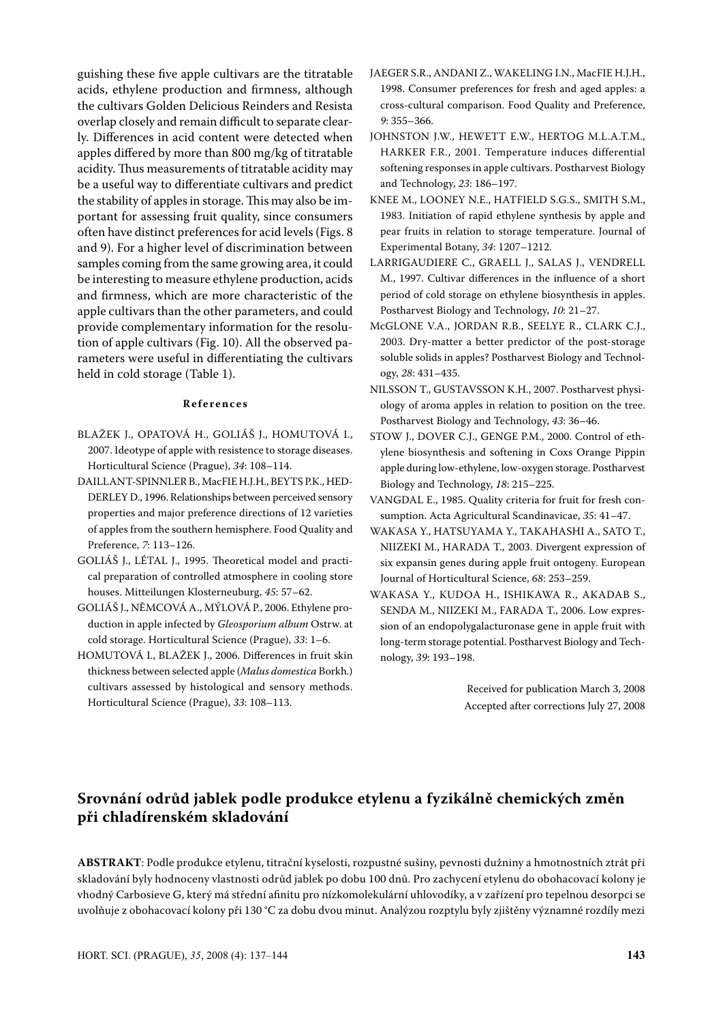guishing these five apple cultivars are the titratable acids, ethylene production and firmness, although the cultivars Golden Delicious Reinders and Resista overlap closely and remain difficult to separate clearly. Differences in acid content were detected when apples differed by more than 800 mg/kg of titratable acidity. Thus measurements of titratable acidity may be a useful way to differentiate cultivars and predict the stability of apples in storage. This may also be important for assessing fruit quality, since consumers often have distinct preferences for acid levels (Figs. 8 and 9). For a higher level of discrimination between samples coming from the same growing area, it could be interesting to measure ethylene production, acids and firmness, which are more characteristic of the apple cultivars than the other parameters, and could provide complementary information for the resolution of apple cultivars (Fig. 10). All the observed parameters were useful in differentiating the cultivars held in cold storage (Table 1).

#### **R e f e r e n c e s**

- BLAŽEK J., OPATOVÁ H., GOLIÁŠ J., HOMUTOVÁ I., 2007. Ideotype of apple with resistence to storage diseases. Horticultural Science (Prague), *34*: 108–114.
- DAILLANT-SPINNLER B., MacFIE H.J.H., BEYTS P.K., HED-DERLEY D., 1996. Relationships between perceived sensory properties and major preference directions of 12 varieties of apples from the southern hemisphere. Food Quality and Preference, *7*: 113–126.
- GOLIÁŠ J., LÉTAL J., 1995. Theoretical model and practical preparation of controlled atmosphere in cooling store houses. Mitteilungen Klosterneuburg, *45*: 57–62.
- GOLIÁŠ J., NĚMCOVÁ A., MÝLOVÁ P., 2006. Ethylene production in apple infected by *Gleosporium album* Ostrw. at cold storage. Horticultural Science (Prague), *33*: 1–6.
- HOMUTOVÁ I., BLAŽEK J., 2006. Differences in fruit skin thickness between selected apple (*Malus domestica* Borkh.) cultivars assessed by histological and sensory methods. Horticultural Science (Prague), *33*: 108–113.
- JAEGER S.R., ANDANI Z., WAKELING I.N., MacFIE H.J.H., 1998. Consumer preferences for fresh and aged apples: a cross-cultural comparison. Food Quality and Preference, *9*: 355–366.
- JOHNSTON J.W., HEWETT E.W., HERTOG M.L.A.T.M., HARKER F.R., 2001. Temperature induces differential softening responses in apple cultivars. Postharvest Biology and Technology, *23*: 186–197.
- KNEE M., LOONEY N.E., HATFIELD S.G.S., SMITH S.M., 1983. Initiation of rapid ethylene synthesis by apple and pear fruits in relation to storage temperature. Journal of Experimental Botany, *34*: 1207–1212.
- LARRIGAUDIERE C., GRAELL J., SALAS J., VENDRELL M., 1997. Cultivar differences in the influence of a short period of cold storage on ethylene biosynthesis in apples. Postharvest Biology and Technology, *10*: 21–27.
- McGLONE V.A., JORDAN R.B., SEELYE R., CLARK C.J., 2003. Dry-matter a better predictor of the post-storage soluble solids in apples? Postharvest Biology and Technology, *28*: 431–435.
- NILSSON T., GUSTAVSSON K.H., 2007. Postharvest physiology of aroma apples in relation to position on the tree. Postharvest Biology and Technology, *43*: 36–46.
- STOW J., DOVER C.J., GENGE P.M., 2000. Control of ethylene biosynthesis and softening in Coxs Orange Pippin apple during low-ethylene, low-oxygen storage. Postharvest Biology and Technology, *18*: 215–225.
- VANGDAL E., 1985. Quality criteria for fruit for fresh consumption. Acta Agricultural Scandinavicae, *35*: 41–47.
- WAKASA Y., HATSUYAMA Y., TAKAHASHI A., SATO T., NIIZEKI M., HARADA T., 2003. Divergent expression of six expansin genes during apple fruit ontogeny. European Journal of Horticultural Science, *68*: 253–259.
- WAKASA Y., KUDOA H., ISHIKAWA R., AKADAB S., SENDA M., NIIZEKI M., FARADA T., 2006. Low expression of an endopolygalacturonase gene in apple fruit with long-term storage potential. Postharvest Biology and Technology, *39*: 193–198.

Received for publication March 3, 2008 Accepted after corrections July 27, 2008

# **Srovnání odrůd jablek podle produkce etylenu a fyzikálně chemických změn při chladírenském skladování**

**ABSTRAKT**: Podle produkce etylenu, titrační kyselosti, rozpustné sušiny, pevnosti dužniny a hmotnostních ztrát při skladování byly hodnoceny vlastnosti odrůd jablek po dobu 100 dnů. Pro zachycení etylenu do obohacovací kolony je vhodný Carbosieve G, který má střední afinitu pro nízkomolekulární uhlovodíky, a v zařízení pro tepelnou desorpci se uvolňuje z obohacovací kolony při 130 °C za dobu dvou minut. Analýzou rozptylu byly zjištěny významné rozdíly mezi